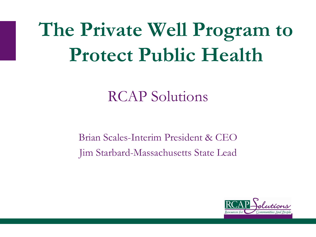## **The Private Well Program to Protect Public Health**

### RCAP Solutions

Brian Scales-Interim President & CEO Jim Starbard-Massachusetts State Lead

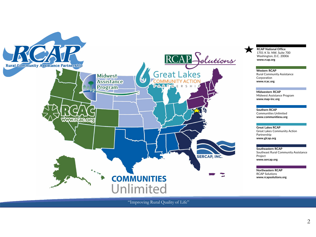

**RCAP National Office** 1701 K St. NW, Suite 700 Washington, D.C. 20006 **www.rcap.org**

**Western RCAP** Rural Community Assistance Corporation **www.rcac.org**

**Midwestern RCAP** Midwest Assistance Program **www.map-inc.org**

**Southern RCAP** Communities Unlimited **www.communitiesu.org**

**Great Lakes RCAP** Great Lakes Community Action Partnership **www.glcap.org**

**Southeastern RCAP** Southeast Rural Community Assistance Project **www.sercap.org**

**Northeastern RCAP** RCAP Solutions **www.rcapsolutions.org**

"Improving Rural Quality of Life"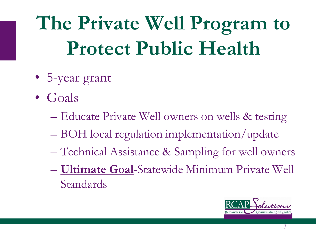**The Private Well Program to Protect Public Health**

- 5-year grant
- Goals
	- Educate Private Well owners on wells & testing
	- BOH local regulation implementation/update
	- Technical Assistance & Sampling for well owners
	- **Ultimate Goal**-Statewide Minimum Private Well Standards

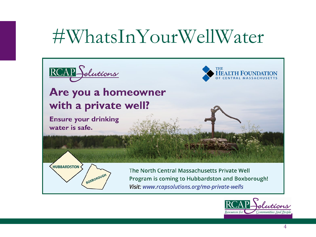### #WhatsInYourWellWater



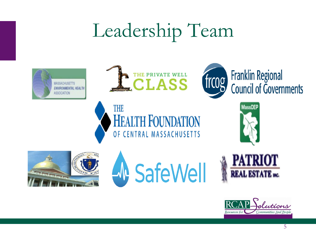### Leadership Team









Resources for

Communities And People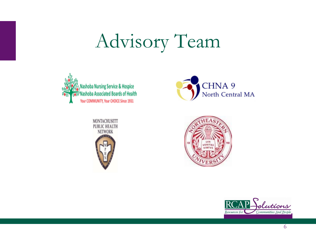## Advisory Team









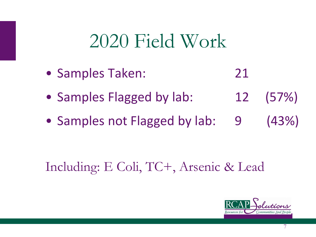### 2020 Field Work

- Samples Taken: 21
- Samples Flagged by lab: 12 (57%)
- Samples not Flagged by lab: 9 (43%)

### Including: E Coli, TC+, Arsenic & Lead



7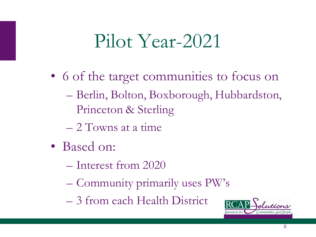### Pilot Year-2021

- 6 of the target communities to focus on – Berlin, Bolton, Boxborough, Hubbardston, Princeton & Sterling
	- 2 Towns at a time
- Based on:
	- Interest from 2020
	- Community primarily uses PW's
	- 3 from each Health District

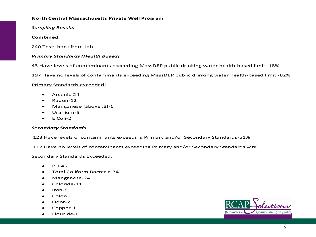### **North Central Massachusetts Private Well Program**

*Sampling Results*

### **Combined**

240 Tests back from Lab

### *Primary Standards (Health Based)*

43 Have levels of contaminants exceeding MassDEP public drinking water health-based limit -18%

197 Have no levels of contaminants exceeding MassDEP public drinking water health-based limit -82%

### Primary Standards exceeded:

- Arsenic-24
- Radon-12
- Manganese (above .3)-6
- Uranium-5
- $\bullet$  E Coli-2

### *Secondary Standards*

123 Have levels of contaminants exceeding Primary and/or Secondary Standards-51%

117 Have no levels of contaminants exceeding Primary and/or Secondary Standards 49%

### Secondary Standards Exceeded:

- $\bullet$  PH-45
- Total Coliform Bacteria-34
- Manganese-24
- Chloride-11
- Iron-8
- Color-3
- Odor-2
- Copper-1
- Flouride-1

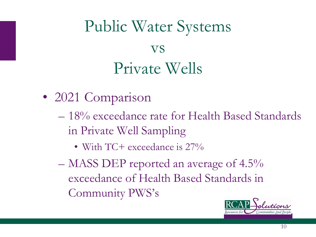### Public Water Systems vs Private Wells

- 2021 Comparison
	- 18% exceedance rate for Health Based Standards in Private Well Sampling
		- With TC+ exceedance is  $27\%$
	- MASS DEP reported an average of 4.5% exceedance of Health Based Standards in Community PWS's

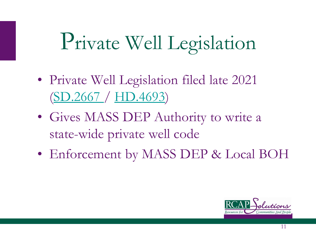# Private Well Legislation

- Private Well Legislation filed late 2021 ([SD.2667 /](https://malegislature.gov/Bills/192/SD2903) [HD.4693](https://nam04.safelinks.protection.outlook.com/?url=http%3A%2F%2Fem.networkforgood.com%2Fls%2Fclick%3Fupn%3DVAGGw4zHikj3d-2F5242H3ZkB44vbSKMoIUpwz1EeSaoFGMvL1Lj4Fj06FpUzNySyciA9wOktbVbPE3gymJDHWZg-3D-3DIIar_9vqTDcbMflqGb7M3pS8B0dQpMwI6xDbkKPg72sawcvnY-2BBUzmETpGPbCJ-2BG2ncgkUwogs23m6-2BfKaZ867-2Fo-2FLbF9KXhqcrC253dDGmaol9YfiOLhshj4mFltGj3mzC-2Fbnu5QfGEVMUuEjfOBjK9aHUxNgWs3L76dAJOzYTIN-2Bsapq7be72dxOip4ZZz2LKPdG33LOJZgyX9tMHdj8yTFJWi5K6BJja-2F-2FSt-2FUlge3SwU-3D&data=04%7C01%7Cadrozd%40rcapsolutions.org%7Cc5e136e618404bd26e6608d9e0fe59e9%7C2cbe620f8ba9444e8219fe45963d1831%7C0%7C0%7C637788205331828331%7CUnknown%7CTWFpbGZsb3d8eyJWIjoiMC4wLjAwMDAiLCJQIjoiV2luMzIiLCJBTiI6Ik1haWwiLCJXVCI6Mn0%3D%7C3000&sdata=vLeasrEp0wgjA4qnqiwrako3d%2FytHjlHZwdIe1z2TsY%3D&reserved=0))
- Gives MASS DEP Authority to write a state-wide private well code
- Enforcement by MASS DEP & Local BOH

![](_page_10_Picture_4.jpeg)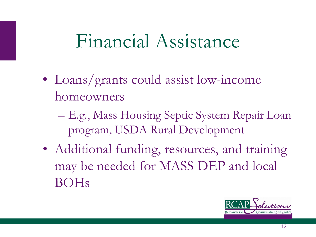### Financial Assistance

- Loans/grants could assist low-income homeowners
	- E.g., Mass Housing Septic System Repair Loan program, USDA Rural Development
- Additional funding, resources, and training may be needed for MASS DEP and local BOHs

![](_page_11_Picture_4.jpeg)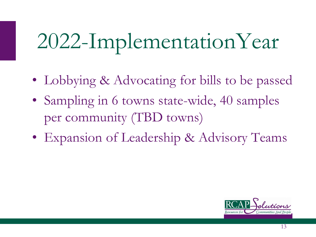# 2022-ImplementationYear

- Lobbying & Advocating for bills to be passed
- Sampling in 6 towns state-wide, 40 samples per community (TBD towns)
- Expansion of Leadership & Advisory Teams

![](_page_12_Picture_4.jpeg)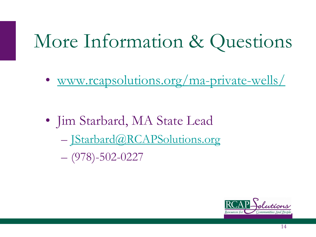### More Information & Questions

• [www.rcapsolutions.org/ma-private-wells/](http://www.rcapsolutions.org/ma-private-wells/)

• Jim Starbard, MA State Lead – [JStarbard@RCAPSolutions.org](mailto:JStarbard@RCAPSolutions.org)  $-$  (978)-502-0227

![](_page_13_Picture_3.jpeg)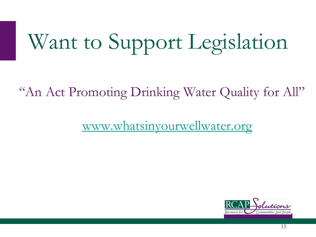# Want to Support Legislation

"An Act Promoting Drinking Water Quality for All"

[www.whatsinyourwellwater.org](https://oneclickpolitics.global.ssl.fastly.net/messages/edit?promo_id=16145)

![](_page_14_Picture_3.jpeg)